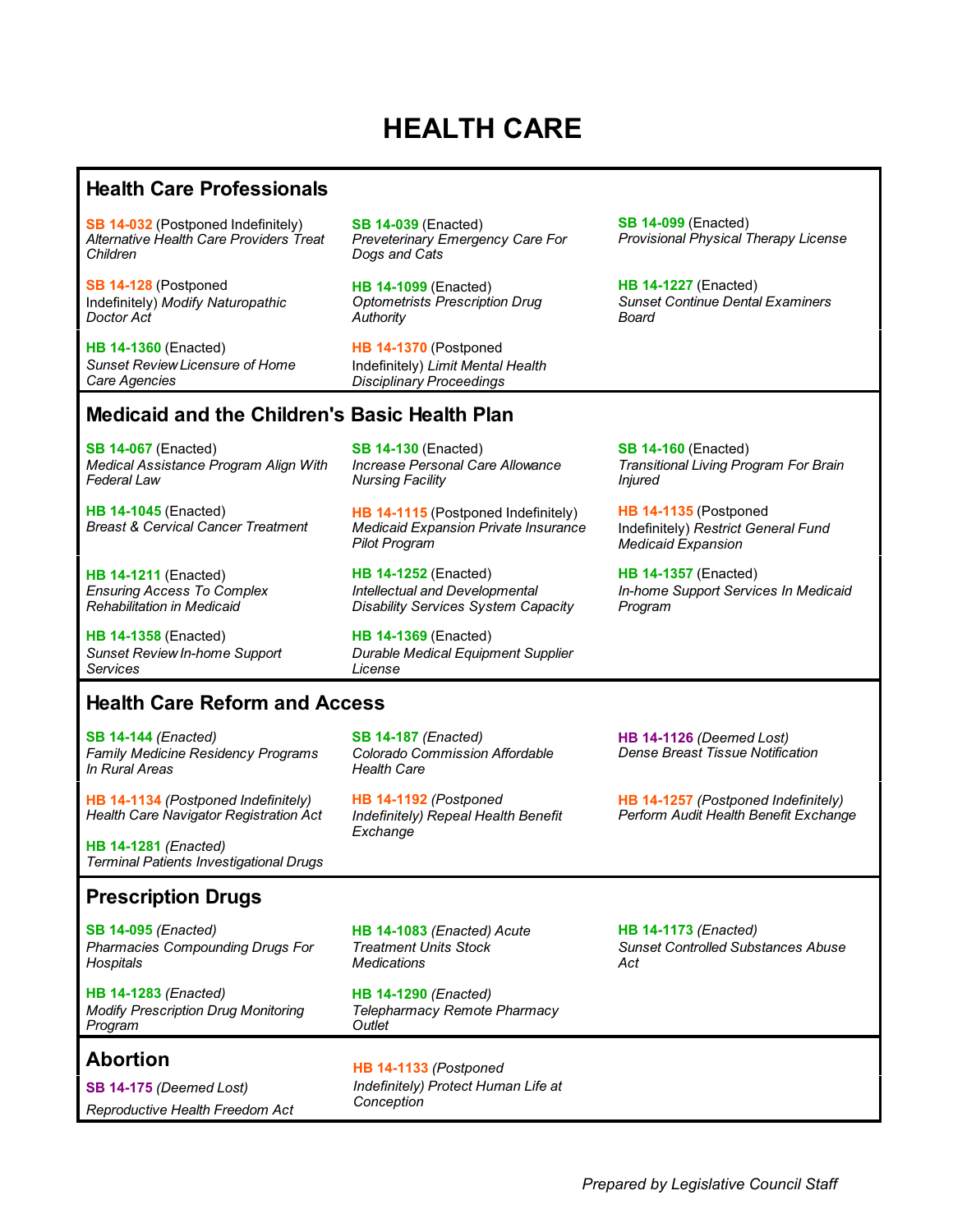### **HEALTH CARE**

#### **Health Care Professionals**

**[SB 14-032](#page-1-0)** (Postponed Indefinitely) *Alternative Health Care Providers Treat Children*

**[SB 14-128](#page-1-0)** (Postponed Indefinitely) *Modify Naturopathic Doctor Act*

**[HB 14-1360](#page-2-0)** (Enacted) *Sunset Review Licensure of Home Care Agencies*

**[SB 14-039](#page-3-0)** (Enacted) *Preveterinary Emergency Care For Dogs and Cats*

**[HB 14-1099](#page-2-0)** (Enacted) *Optometrists Prescription Drug Authority*

**[HB 14-1370](#page-1-0)** (Postponed Indefinitely) *Limit Mental Health Disciplinary Proceedings*

**[SB 14-099](#page-1-0)** (Enacted) *Provisional Physical Therapy License*

**[HB 14-1227](#page-1-0)** (Enacted) *Sunset Continue Dental Examiners Board*

### **Medicaid and the Children's Basic Health Plan**

**[SB 14-067](#page-3-0)** (Enacted) *Medical Assistance Program Align With Federal Law*

**[HB 14-1045](#page-4-0)** (Enacted) *Breast & Cervical Cancer Treatment*

**[HB 14-1211](#page-5-0)** (Enacted) *Ensuring Access To Complex Rehabilitation in Medicaid*

**[HB 14-1358](#page-6-0)** (Enacted) *Sunset Review In-home Support Services*

**[SB 14-130](#page-5-0)** (Enacted) *Increase Personal Care Allowance Nursing Facility*

**[HB 14-1115](#page-4-0)** (Postponed Indefinitely) *Medicaid Expansion Private Insurance Pilot Program*

**[HB 14-1252](#page-4-0)** (Enacted) *Intellectual and Developmental Disability Services System Capacity*

**[HB 14-1369](#page-4-0)** (Enacted) *Durable Medical Equipment Supplier License*

**[SB 14-160](#page-5-0)** (Enacted) *Transitional Living Program For Brain Injured*

**[HB 14-1135](#page-4-0)** (Postponed Indefinitely) *Restrict General Fund Medicaid Expansion*

**[HB 14-1357](#page-6-0)** (Enacted) *In-home Support Services In Medicaid Program*

### **Health Care Reform and Access**

**[SB 14-144](#page-7-0)** *(Enacted) Family Medicine Residency Programs In Rural Areas*

**[HB 14-1134](#page-8-0)** *(Postponed Indefinitely) Health Care Navigator Registration Act*

**HB 14-1281** *(Enacted) Terminal Patients Investigational Drugs*

#### **[SB 14-187](#page-7-0)** *(Enacted) Colorado Commission Affordable Health Care*

**[HB 14-1192](#page-8-0)** *(Postponed Indefinitely) Repeal Health Benefit Exchange*

**[HB 14-1126](#page-7-0)** *(Deemed Lost) Dense Breast Tissue Notification*

**[HB 14-1257](#page-8-0)** *(Postponed Indefinitely) Perform Audit Health Benefit Exchange*

### **Prescription Drugs**

**SB 14-095** *(Enacted) Pharmacies Compounding Drugs For Hospitals*

**[HB 14-1283](#page-9-0)** *(Enacted) Modify Prescription Drug Monitoring Program*

### **Abortion**

**[SB 14-175](#page-9-0)** *(Deemed Lost) Reproductive Health Freedom Act* **[HB 14-1083](#page-8-0)** *(Enacted) Acute Treatment Units Stock Medications*

**[HB 14-1290](#page-9-0)** *(Enacted) Telepharmacy Remote Pharmacy Outlet*

**[HB 14-1133](#page-9-0)** *(Postponed Indefinitely) Protect Human Life at Conception*

**[HB 14-1173](#page-9-0)** *(Enacted) Sunset Controlled Substances Abuse Act*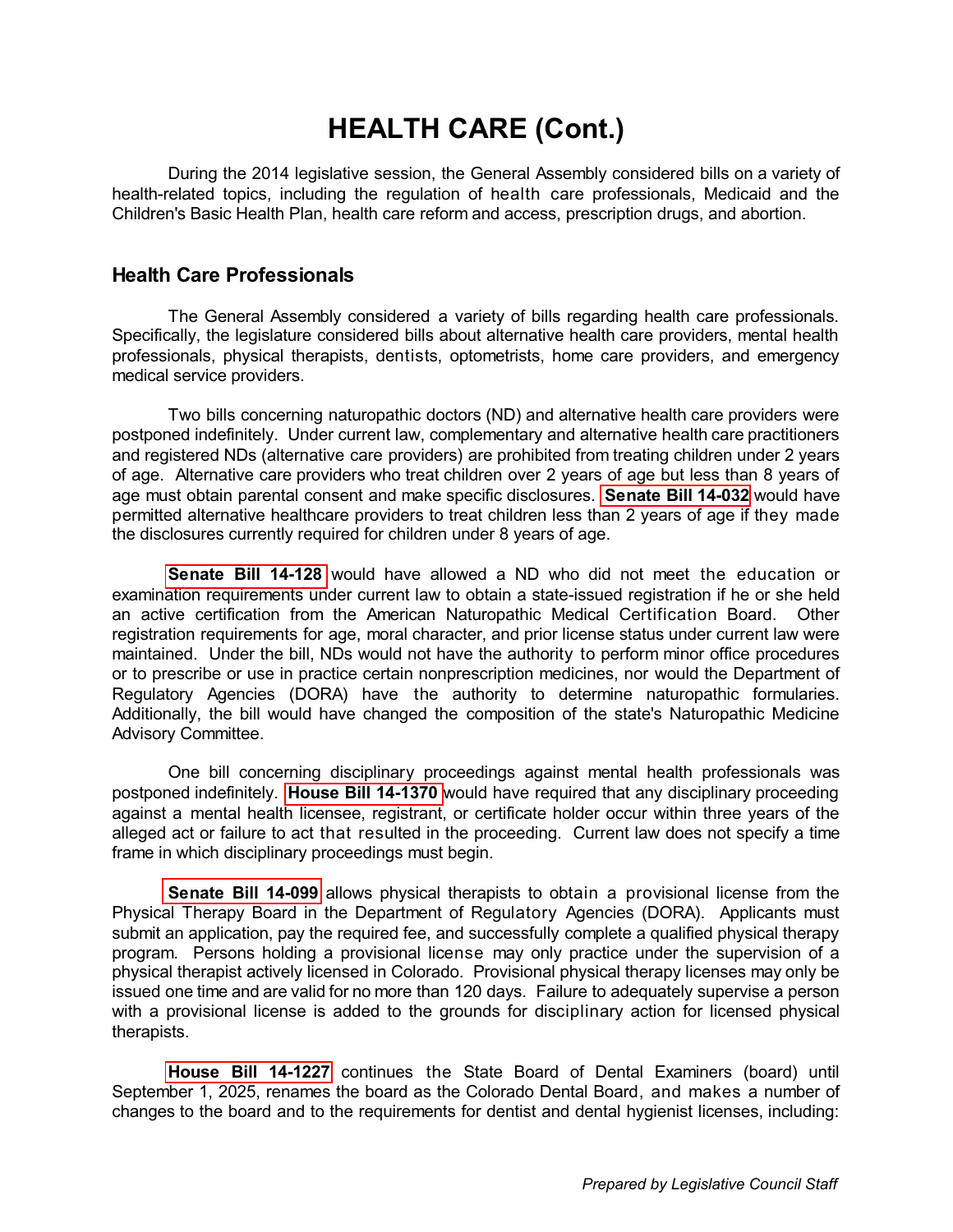<span id="page-1-0"></span>During the 2014 legislative session, the General Assembly considered bills on a variety of health-related topics, including the regulation of health care professionals, Medicaid and the Children's Basic Health Plan, health care reform and access, prescription drugs, and abortion.

#### **Health Care Professionals**

The General Assembly considered a variety of bills regarding health care professionals. Specifically, the legislature considered bills about alternative health care providers, mental health professionals, physical therapists, dentists, optometrists, home care providers, and emergency medical service providers.

Two bills concerning naturopathic doctors (ND) and alternative health care providers were postponed indefinitely. Under current law, complementary and alternative health care practitioners and registered NDs (alternative care providers) are prohibited from treating children under 2 years of age. Alternative care providers who treat children over 2 years of age but less than 8 years of age must obtain parental consent and make specific disclosures. **[Senate Bill 14-032](http://www.leg.state.co.us/Clics/CLICS2014A/csl.nsf/fsbillcont3/FEB672C2987DBD8787257C300005C720?Open&file=032_ren.pdf)** would have permitted alternative healthcare providers to treat children less than 2 years of age if they made the disclosures currently required for children under 8 years of age.

**[Senate Bill 14-128](http://www.leg.state.co.us/Clics/CLICS2014A/csl.nsf/fsbillcont3/4EF14990310D74A787257C580060BAA2?Open&file=128_01.pdf)** would have allowed a ND who did not meet the education or examination requirements under current law to obtain a state-issued registration if he or she held an active certification from the American Naturopathic Medical Certification Board. Other registration requirements for age, moral character, and prior license status under current law were maintained. Under the bill, NDs would not have the authority to perform minor office procedures or to prescribe or use in practice certain nonprescription medicines, nor would the Department of Regulatory Agencies (DORA) have the authority to determine naturopathic formularies. Additionally, the bill would have changed the composition of the state's Naturopathic Medicine Advisory Committee.

One bill concerning disciplinary proceedings against mental health professionals was postponed indefinitely. **[House Bill 14-1370](http://www.leg.state.co.us/Clics/CLICS2014A/csl.nsf/fsbillcont3/8C25469047AC86F487257C5B007CDCAB?Open&file=1370_01.pdf)** would have required that any disciplinary proceeding against a mental health licensee, registrant, or certificate holder occur within three years of the alleged act or failure to act that resulted in the proceeding. Current law does not specify a time frame in which disciplinary proceedings must begin.

**[Senate Bill 14-099](http://www.leg.state.co.us/Clics/CLICS2014A/csl.nsf/fsbillcont3/31F3AB9301F712E987257C600083C98A?Open&file=099_enr.pdf)** allows physical therapists to obtain a provisional license from the Physical Therapy Board in the Department of Regulatory Agencies (DORA). Applicants must submit an application, pay the required fee, and successfully complete a qualified physical therapy program. Persons holding a provisional license may only practice under the supervision of a physical therapist actively licensed in Colorado. Provisional physical therapy licenses may only be issued one time and are valid for no more than 120 days. Failure to adequately supervise a person with a provisional license is added to the grounds for disciplinary action for licensed physical therapists.

**[House Bill 14-1227](http://www.leg.state.co.us/Clics/CLICS2014A/csl.nsf/fsbillcont3/65445EA11136C66C87257C30000636F3?Open&file=1227_enr.pdf)** continues the State Board of Dental Examiners (board) until September 1, 2025, renames the board as the Colorado Dental Board, and makes a number of changes to the board and to the requirements for dentist and dental hygienist licenses, including: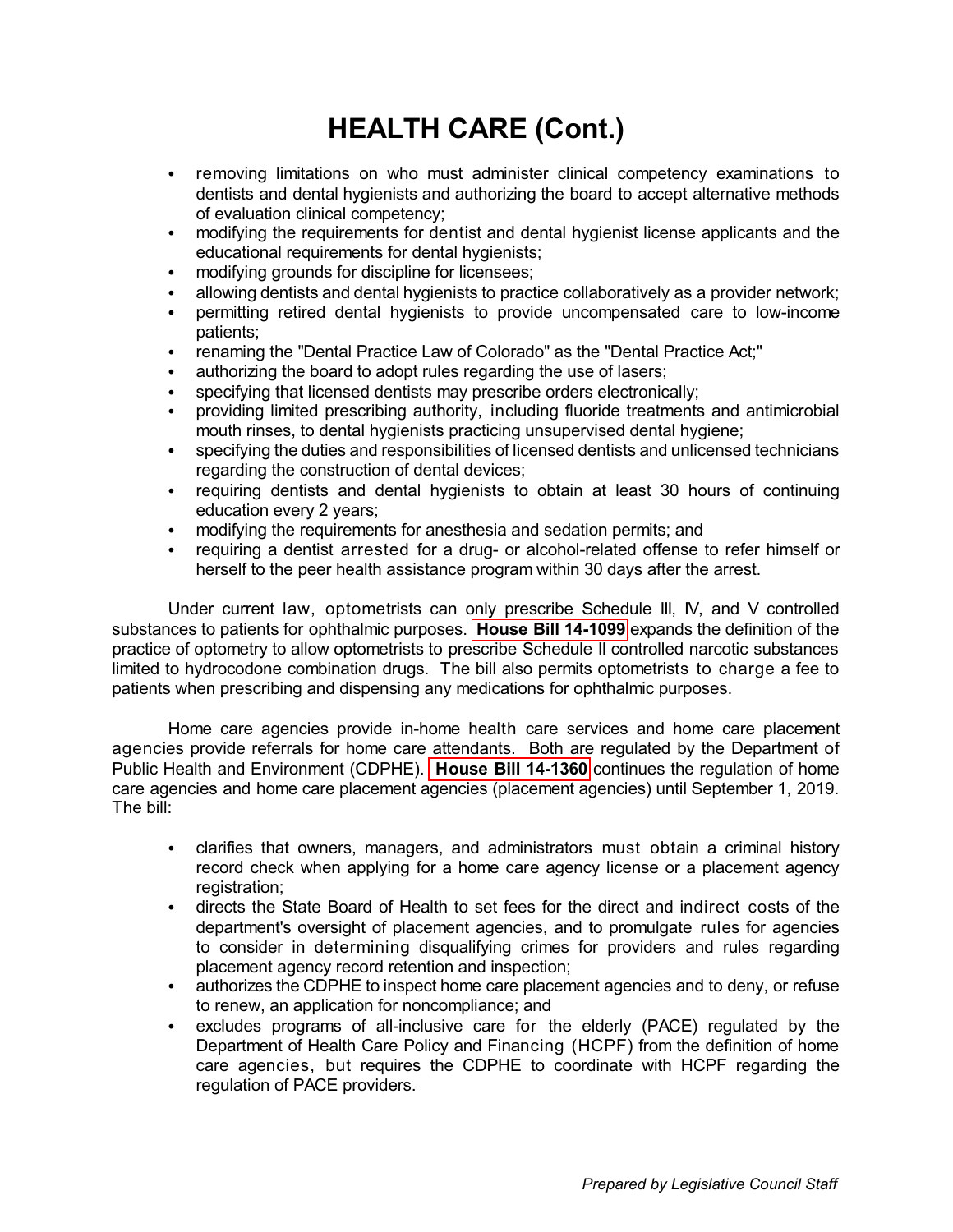- <span id="page-2-0"></span>• removing limitations on who must administer clinical competency examinations to dentists and dental hygienists and authorizing the board to accept alternative methods of evaluation clinical competency;
- modifying the requirements for dentist and dental hygienist license applicants and the educational requirements for dental hygienists;
- modifying grounds for discipline for licensees;
- allowing dentists and dental hygienists to practice collaboratively as a provider network;
- permitting retired dental hygienists to provide uncompensated care to low-income patients;
- renaming the "Dental Practice Law of Colorado" as the "Dental Practice Act;"
- authorizing the board to adopt rules regarding the use of lasers;
- specifying that licensed dentists may prescribe orders electronically;
- providing limited prescribing authority, including fluoride treatments and antimicrobial mouth rinses, to dental hygienists practicing unsupervised dental hygiene;
- specifying the duties and responsibilities of licensed dentists and unlicensed technicians regarding the construction of dental devices;
- requiring dentists and dental hygienists to obtain at least 30 hours of continuing education every 2 years;
- modifying the requirements for anesthesia and sedation permits; and
- requiring a dentist arrested for a drug- or alcohol-related offense to refer himself or herself to the peer health assistance program within 30 days after the arrest.

Under current law, optometrists can only prescribe Schedule III, IV, and V controlled substances to patients for ophthalmic purposes. **[House Bill 14-1099](http://www.leg.state.co.us/Clics/CLICS2014A/csl.nsf/fsbillcont3/94F11E0BD978C05F87257C3600754466?Open&file=1099_enr.pdf)** expands the definition of the practice of optometry to allow optometrists to prescribe Schedule II controlled narcotic substances limited to hydrocodone combination drugs. The bill also permits optometrists to charge a fee to patients when prescribing and dispensing any medications for ophthalmic purposes.

Home care agencies provide in-home health care services and home care placement agencies provide referrals for home care attendants. Both are regulated by the Department of Public Health and Environment (CDPHE). **[House Bill 14-1360](http://www.leg.state.co.us/Clics/CLICS2014A/csl.nsf/fsbillcont3/04547F9A7A9F5A0787257C30000641EF?Open&file=1360_enr.pdf)** continues the regulation of home care agencies and home care placement agencies (placement agencies) until September 1, 2019. The bill:

- clarifies that owners, managers, and administrators must obtain a criminal history record check when applying for a home care agency license or a placement agency registration;
- directs the State Board of Health to set fees for the direct and indirect costs of the department's oversight of placement agencies, and to promulgate rules for agencies to consider in determining disqualifying crimes for providers and rules regarding placement agency record retention and inspection;
- authorizes the CDPHE to inspect home care placement agencies and to deny, or refuse to renew, an application for noncompliance; and
- excludes programs of all-inclusive care for the elderly (PACE) regulated by the Department of Health Care Policy and Financing (HCPF) from the definition of home care agencies, but requires the CDPHE to coordinate with HCPF regarding the regulation of PACE providers.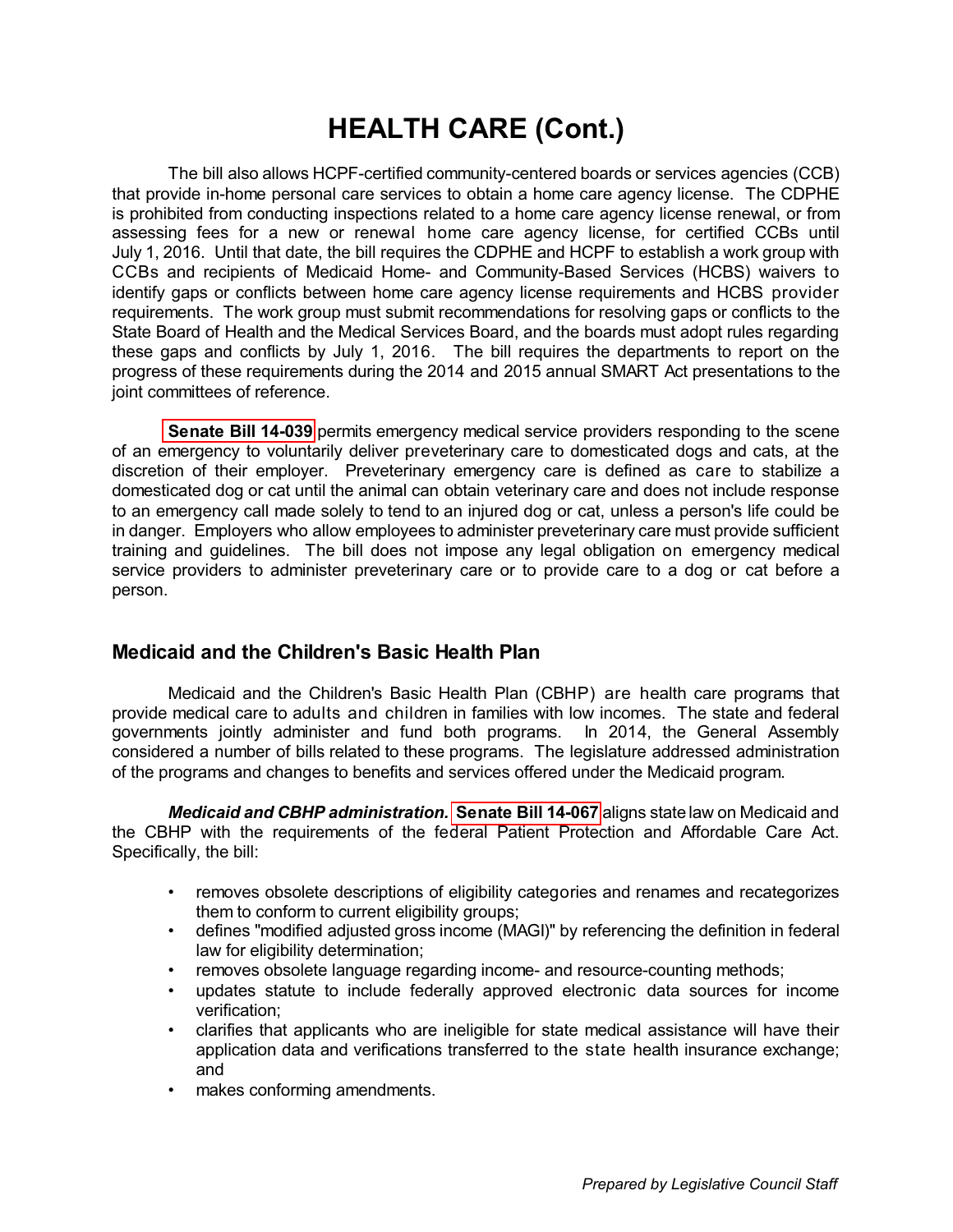<span id="page-3-0"></span>The bill also allows HCPF-certified community-centered boards or services agencies (CCB) that provide in-home personal care services to obtain a home care agency license. The CDPHE is prohibited from conducting inspections related to a home care agency license renewal, or from assessing fees for a new or renewal home care agency license, for certified CCBs until July 1, 2016. Until that date, the bill requires the CDPHE and HCPF to establish a work group with CCBs and recipients of Medicaid Home- and Community-Based Services (HCBS) waivers to identify gaps or conflicts between home care agency license requirements and HCBS provider requirements. The work group must submit recommendations for resolving gaps or conflicts to the State Board of Health and the Medical Services Board, and the boards must adopt rules regarding these gaps and conflicts by July 1, 2016. The bill requires the departments to report on the progress of these requirements during the 2014 and 2015 annual SMART Act presentations to the joint committees of reference.

**[Senate Bill 14-039](http://www.leg.state.co.us/Clics/CLICS2014A/csl.nsf/fsbillcont3/B3EC94E7F310DEB687257C3000061C8E?Open&file=039_enr.pdf)** permits emergency medical service providers responding to the scene of an emergency to voluntarily deliver preveterinary care to domesticated dogs and cats, at the discretion of their employer. Preveterinary emergency care is defined as care to stabilize a domesticated dog or cat until the animal can obtain veterinary care and does not include response to an emergency call made solely to tend to an injured dog or cat, unless a person's life could be in danger. Employers who allow employees to administer preveterinary care must provide sufficient training and guidelines. The bill does not impose any legal obligation on emergency medical service providers to administer preveterinary care or to provide care to a dog or cat before a person.

### **Medicaid and the Children's Basic Health Plan**

Medicaid and the Children's Basic Health Plan (CBHP) are health care programs that provide medical care to adults and children in families with low incomes. The state and federal governments jointly administer and fund both programs. In 2014, the General Assembly considered a number of bills related to these programs. The legislature addressed administration of the programs and changes to benefits and services offered under the Medicaid program.

*Medicaid and CBHP administration.* **[Senate Bill 14-067](http://www.leg.state.co.us/Clics/CLICS2014A/csl.nsf/fsbillcont3/D4E6847D3827C34787257C300006ED67?Open&file=067_enr.pdf)** aligns state law on Medicaid and the CBHP with the requirements of the federal Patient Protection and Affordable Care Act. Specifically, the bill:

- removes obsolete descriptions of eligibility categories and renames and recategorizes them to conform to current eligibility groups;
- defines "modified adjusted gross income (MAGI)" by referencing the definition in federal law for eligibility determination;
- removes obsolete language regarding income- and resource-counting methods;
- updates statute to include federally approved electronic data sources for income verification;
- clarifies that applicants who are ineligible for state medical assistance will have their application data and verifications transferred to the state health insurance exchange; and
- makes conforming amendments.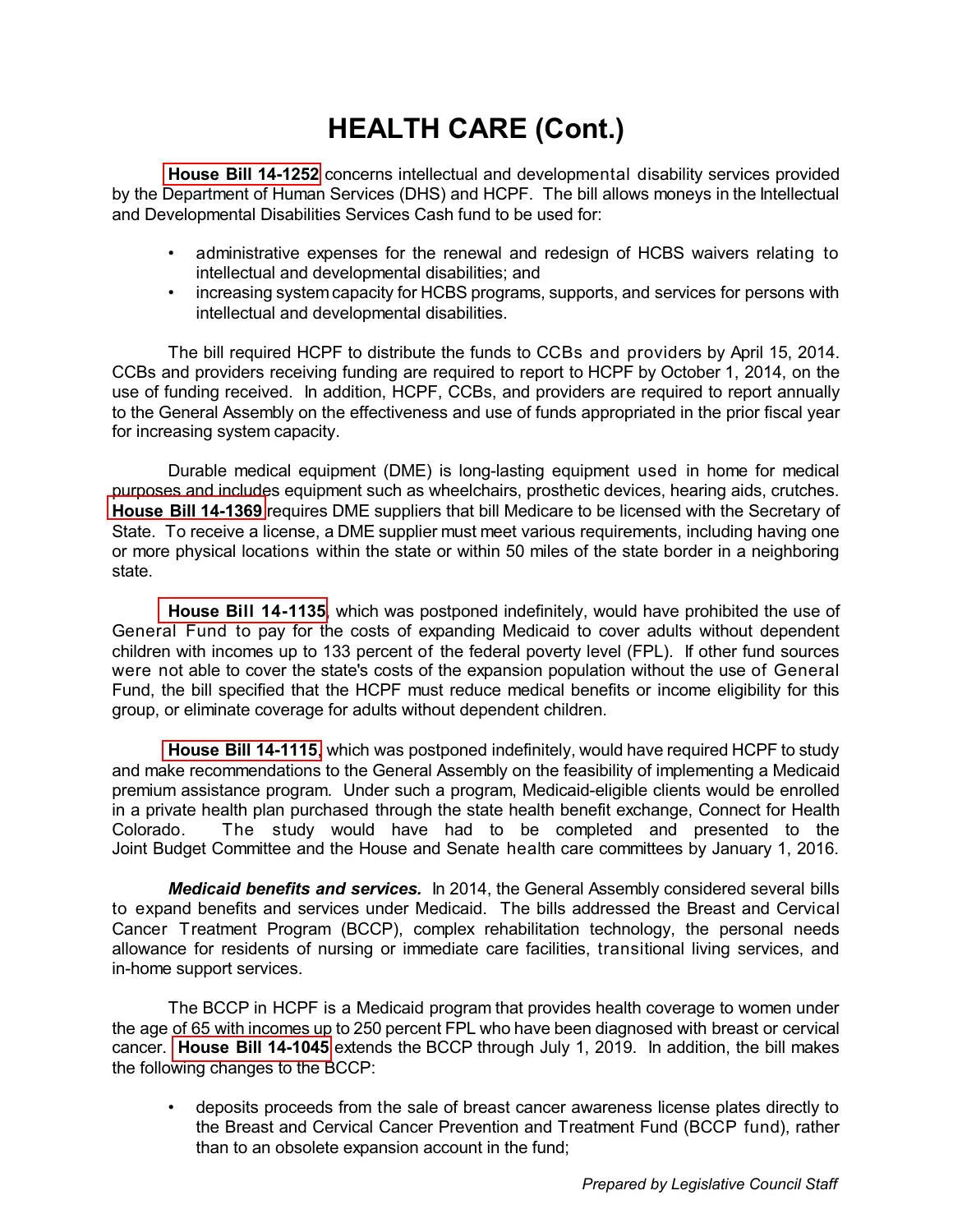<span id="page-4-0"></span>**[House Bill 14-1252](http://www.leg.state.co.us/Clics/CLICS2014A/csl.nsf/fsbillcont3/5ECE861F3F66311687257C6200779C00?Open&file=1252_enr.pdf)** concerns intellectual and developmental disability services provided by the Department of Human Services (DHS) and HCPF. The bill allows moneys in the Intellectual and Developmental Disabilities Services Cash fund to be used for:

- administrative expenses for the renewal and redesign of HCBS waivers relating to intellectual and developmental disabilities; and
- increasing system capacity for HCBS programs, supports, and services for persons with intellectual and developmental disabilities.

The bill required HCPF to distribute the funds to CCBs and providers by April 15, 2014. CCBs and providers receiving funding are required to report to HCPF by October 1, 2014, on the use of funding received. In addition, HCPF, CCBs, and providers are required to report annually to the General Assembly on the effectiveness and use of funds appropriated in the prior fiscal year for increasing system capacity.

Durable medical equipment (DME) is long-lasting equipment used in home for medical purposes and includes equipment such as wheelchairs, prosthetic devices, hearing aids, crutches. **[House Bill 14-1369](http://www.leg.state.co.us/Clics/CLICS2014A/csl.nsf/fsbillcont3/EEA50F1EC0879BB187257C8C007A470E?Open&file=1369_enr.pdf)** requires DME suppliers that bill Medicare to be licensed with the Secretary of State. To receive a license, a DME supplier must meet various requirements, including having one or more physical locations within the state or within 50 miles of the state border in a neighboring state.

**[House Bill 14-1135](http://www.leg.state.co.us/Clics/CLICS2014A/csl.nsf/fsbillcont3/AFCB692A4E7EF3BB87257C300005F2EB?Open&file=1135_01.pdf)**, which was postponed indefinitely, would have prohibited the use of General Fund to pay for the costs of expanding Medicaid to cover adults without dependent children with incomes up to 133 percent of the federal poverty level (FPL). If other fund sources were not able to cover the state's costs of the expansion population without the use of General Fund, the bill specified that the HCPF must reduce medical benefits or income eligibility for this group, or eliminate coverage for adults without dependent children.

**[House Bill 14-1115](http://www.leg.state.co.us/Clics/CLICS2014A/csl.nsf/fsbillcont3/40754454E62954FE87257C360078CFB0?Open&file=1115_01.pdf)**, which was postponed indefinitely, would have required HCPF to study and make recommendations to the General Assembly on the feasibility of implementing a Medicaid premium assistance program. Under such a program, Medicaid-eligible clients would be enrolled in a private health plan purchased through the state health benefit exchange, Connect for Health Colorado. The study would have had to be completed and presented to the Joint Budget Committee and the House and Senate health care committees by January 1, 2016.

*Medicaid benefits and services.* In 2014, the General Assembly considered several bills to expand benefits and services under Medicaid. The bills addressed the Breast and Cervical Cancer Treatment Program (BCCP), complex rehabilitation technology, the personal needs allowance for residents of nursing or immediate care facilities, transitional living services, and in-home support services.

The BCCP in HCPF is a Medicaid program that provides health coverage to women under the age of 65 with incomes up to 250 percent FPL who have been diagnosed with breast or cervical cancer. **[House Bill 14-1045](http://www.leg.state.co.us/Clics/CLICS2014A/csl.nsf/fsbillcont3/2F8E7BDFADB0FC3187257C300006FA0E?Open&file=1045_enr.pdf)** extends the BCCP through July 1, 2019. In addition, the bill makes the following changes to the BCCP:

• deposits proceeds from the sale of breast cancer awareness license plates directly to the Breast and Cervical Cancer Prevention and Treatment Fund (BCCP fund), rather than to an obsolete expansion account in the fund;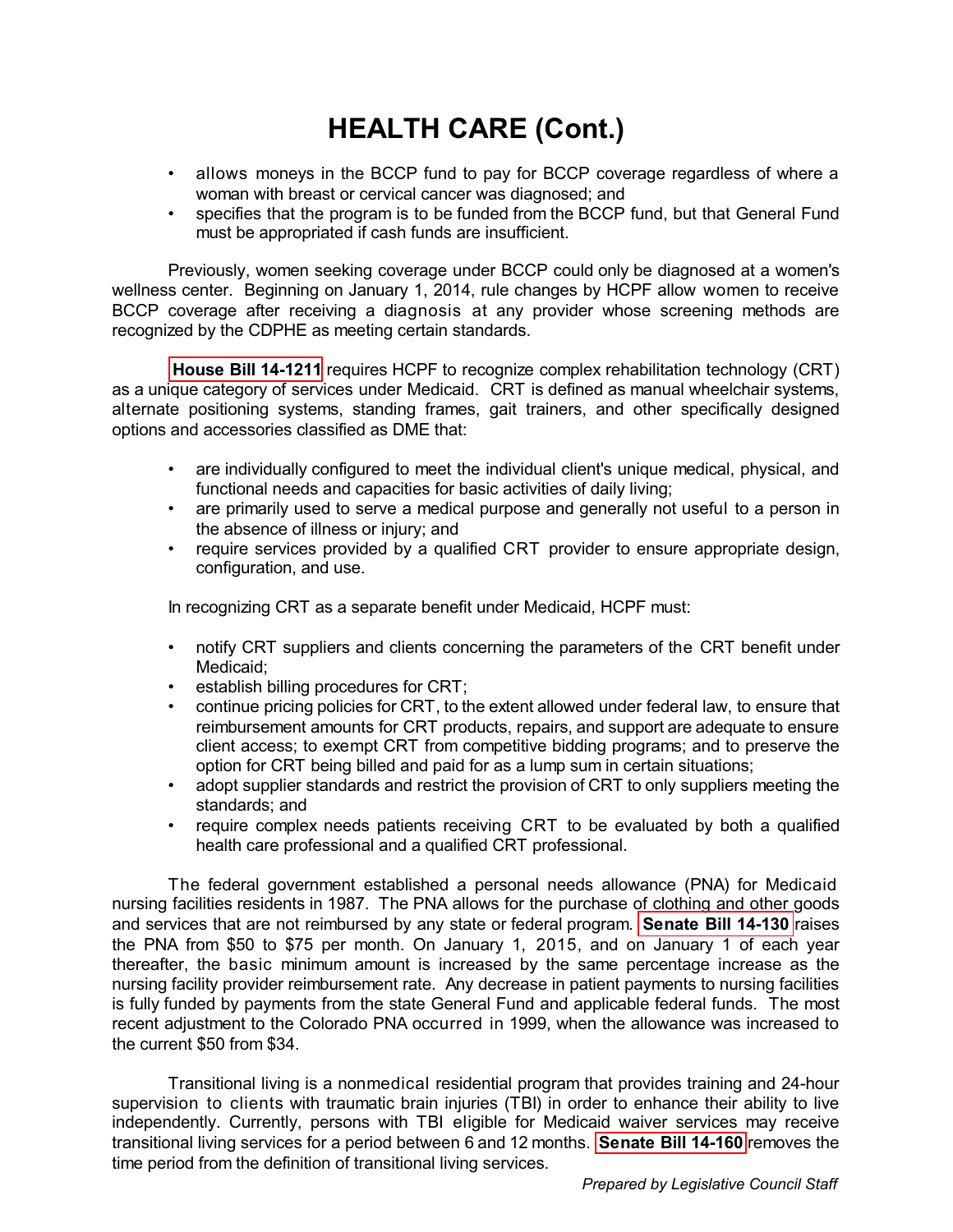- <span id="page-5-0"></span>• allows moneys in the BCCP fund to pay for BCCP coverage regardless of where a woman with breast or cervical cancer was diagnosed; and
- specifies that the program is to be funded from the BCCP fund, but that General Fund must be appropriated if cash funds are insufficient.

Previously, women seeking coverage under BCCP could only be diagnosed at a women's wellness center. Beginning on January 1, 2014, rule changes by HCPF allow women to receive BCCP coverage after receiving a diagnosis at any provider whose screening methods are recognized by the CDPHE as meeting certain standards.

**[House Bill 14-1211](http://www.leg.state.co.us/Clics/CLICS2014A/csl.nsf/fsbillcont3/E936A570030C75D687257C30000649A2?Open&file=1211_enr.pdf)** requires HCPF to recognize complex rehabilitation technology (CRT) as a unique category of services under Medicaid. CRT is defined as manual wheelchair systems, alternate positioning systems, standing frames, gait trainers, and other specifically designed options and accessories classified as DME that:

- are individually configured to meet the individual client's unique medical, physical, and functional needs and capacities for basic activities of daily living;
- are primarily used to serve a medical purpose and generally not useful to a person in the absence of illness or injury; and
- require services provided by a qualified CRT provider to ensure appropriate design, configuration, and use.

In recognizing CRT as a separate benefit under Medicaid, HCPF must:

- notify CRT suppliers and clients concerning the parameters of the CRT benefit under Medicaid;
- establish billing procedures for CRT;
- continue pricing policies for CRT, to the extent allowed under federal law, to ensure that reimbursement amounts for CRT products, repairs, and support are adequate to ensure client access; to exempt CRT from competitive bidding programs; and to preserve the option for CRT being billed and paid for as a lump sum in certain situations;
- adopt supplier standards and restrict the provision of CRT to only suppliers meeting the standards; and
- require complex needs patients receiving CRT to be evaluated by both a qualified health care professional and a qualified CRT professional.

The federal government established a personal needs allowance (PNA) for Medicaid nursing facilities residents in 1987. The PNA allows for the purchase of clothing and other goods and services that are not reimbursed by any state or federal program. **[Senate Bill 14-130](http://www.leg.state.co.us/Clics/CLICS2014A/csl.nsf/fsbillcont3/94052E5B9213577687257C300005CB7D?Open&file=130_enr.pdf)** raises the PNA from \$50 to \$75 per month. On January 1, 2015, and on January 1 of each year thereafter, the basic minimum amount is increased by the same percentage increase as the nursing facility provider reimbursement rate. Any decrease in patient payments to nursing facilities is fully funded by payments from the state General Fund and applicable federal funds. The most recent adjustment to the Colorado PNA occurred in 1999, when the allowance was increased to the current \$50 from \$34.

Transitional living is a nonmedical residential program that provides training and 24-hour supervision to clients with traumatic brain injuries (TBI) in order to enhance their ability to live independently. Currently, persons with TBI eligible for Medicaid waiver services may receive transitional living services for a period between 6 and 12 months. **[Senate Bill 14-160](http://www.leg.state.co.us/Clics/CLICS2014A/csl.nsf/fsbillcont3/B8A9C927C0FCB86187257C8B007208E9?Open&file=160_enr.pdf)** removes the time period from the definition of transitional living services.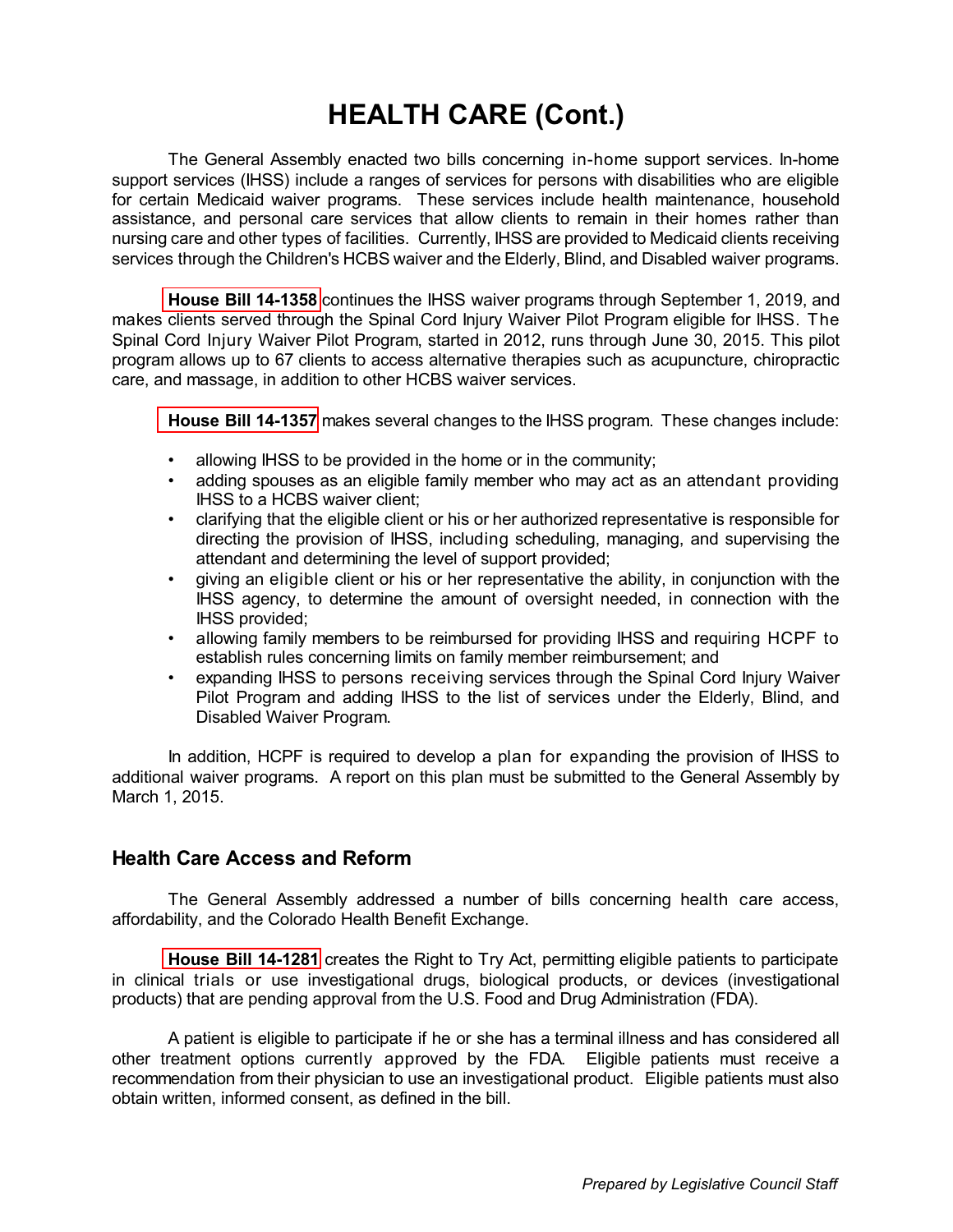<span id="page-6-0"></span>The General Assembly enacted two bills concerning in-home support services. In-home support services (IHSS) include a ranges of services for persons with disabilities who are eligible for certain Medicaid waiver programs. These services include health maintenance, household assistance, and personal care services that allow clients to remain in their homes rather than nursing care and other types of facilities. Currently, IHSS are provided to Medicaid clients receiving services through the Children's HCBS waiver and the Elderly, Blind, and Disabled waiver programs.

**[House Bill 14-1358](http://www.leg.state.co.us/Clics/CLICS2014A/csl.nsf/fsbillcont3/D3DB59F86D7971DA87257C300006ECE7?Open&file=1358_enr.pdf)** continues the IHSS waiver programs through September 1, 2019, and makes clients served through the Spinal Cord Injury Waiver Pilot Program eligible for IHSS. The Spinal Cord Injury Waiver Pilot Program, started in 2012, runs through June 30, 2015. This pilot program allows up to 67 clients to access alternative therapies such as acupuncture, chiropractic care, and massage, in addition to other HCBS waiver services.

**[House Bill 14-1357](http://www.leg.state.co.us/Clics/CLICS2014A/csl.nsf/fsbillcont3/FAA3C9E8130FBEA787257CAE00660C8F?Open&file=1357_enr.pdf)** makes several changes to the IHSS program. These changes include:

- allowing IHSS to be provided in the home or in the community;
- adding spouses as an eligible family member who may act as an attendant providing IHSS to a HCBS waiver client;
- clarifying that the eligible client or his or her authorized representative is responsible for directing the provision of IHSS, including scheduling, managing, and supervising the attendant and determining the level of support provided;
- giving an eligible client or his or her representative the ability, in conjunction with the IHSS agency, to determine the amount of oversight needed, in connection with the IHSS provided;
- allowing family members to be reimbursed for providing IHSS and requiring HCPF to establish rules concerning limits on family member reimbursement; and
- expanding IHSS to persons receiving services through the Spinal Cord Injury Waiver Pilot Program and adding IHSS to the list of services under the Elderly, Blind, and Disabled Waiver Program.

In addition, HCPF is required to develop a plan for expanding the provision of IHSS to additional waiver programs. A report on this plan must be submitted to the General Assembly by March 1, 2015.

#### **Health Care Access and Reform**

The General Assembly addressed a number of bills concerning health care access, affordability, and the Colorado Health Benefit Exchange.

**[House Bill 14-1281](http://www.leg.state.co.us/Clics/CLICS2014A/csl.nsf/fsbillcont3/CE8AAA4FAF92567487257C6F005C8D97?Open&file=1281_enr.pdf)** creates the Right to Try Act, permitting eligible patients to participate in clinical trials or use investigational drugs, biological products, or devices (investigational products) that are pending approval from the U.S. Food and Drug Administration (FDA).

A patient is eligible to participate if he or she has a terminal illness and has considered all other treatment options currently approved by the FDA. Eligible patients must receive a recommendation from their physician to use an investigational product. Eligible patients must also obtain written, informed consent, as defined in the bill.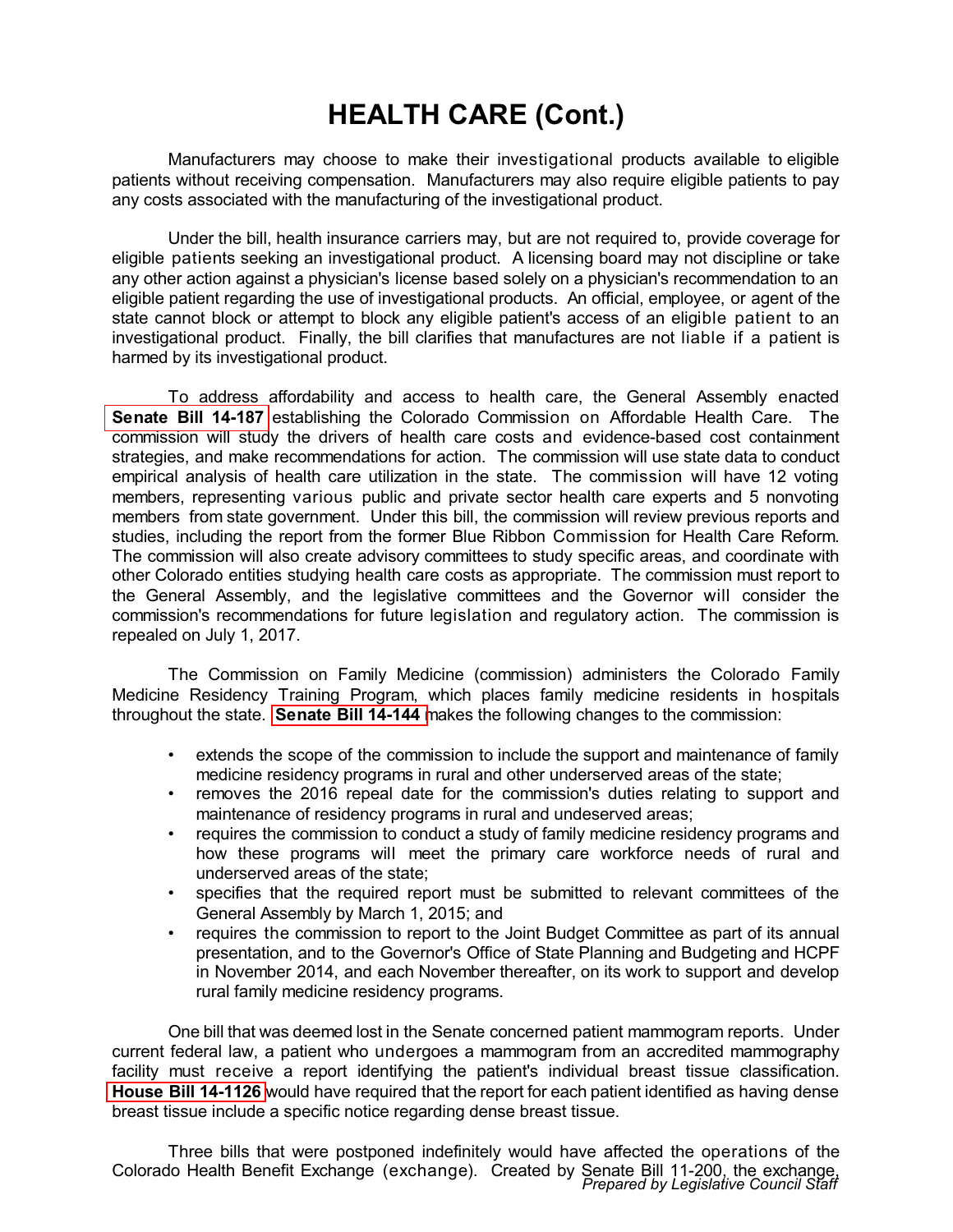<span id="page-7-0"></span> Manufacturers may choose to make their investigational products available to eligible patients without receiving compensation. Manufacturers may also require eligible patients to pay any costs associated with the manufacturing of the investigational product.

Under the bill, health insurance carriers may, but are not required to, provide coverage for eligible patients seeking an investigational product. A licensing board may not discipline or take any other action against a physician's license based solely on a physician's recommendation to an eligible patient regarding the use of investigational products. An official, employee, or agent of the state cannot block or attempt to block any eligible patient's access of an eligible patient to an investigational product. Finally, the bill clarifies that manufactures are not liable if a patient is harmed by its investigational product.

To address affordability and access to health care, the General Assembly enacted **[Senate Bill 14-187](http://www.leg.state.co.us/Clics/CLICS2014A/csl.nsf/fsbillcont3/CE2BF2264305C4CC87257C360078C30E?Open&file=187_enr.pdf)** establishing the Colorado Commission on Affordable Health Care. The commission will study the drivers of health care costs and evidence-based cost containment strategies, and make recommendations for action. The commission will use state data to conduct empirical analysis of health care utilization in the state. The commission will have 12 voting members, representing various public and private sector health care experts and 5 nonvoting members from state government. Under this bill, the commission will review previous reports and studies, including the report from the former Blue Ribbon Commission for Health Care Reform. The commission will also create advisory committees to study specific areas, and coordinate with other Colorado entities studying health care costs as appropriate. The commission must report to the General Assembly, and the legislative committees and the Governor will consider the commission's recommendations for future legislation and regulatory action. The commission is repealed on July 1, 2017.

The Commission on Family Medicine (commission) administers the Colorado Family Medicine Residency Training Program, which places family medicine residents in hospitals throughout the state. **[Senate Bill 14-144](http://www.leg.state.co.us/Clics/CLICS2014A/csl.nsf/fsbillcont3/190C97E3D69E5CFD87257C360078CC81?Open&file=144_enr.pdf)** makes the following changes to the commission:

- extends the scope of the commission to include the support and maintenance of family medicine residency programs in rural and other underserved areas of the state;
- removes the 2016 repeal date for the commission's duties relating to support and maintenance of residency programs in rural and undeserved areas;
- requires the commission to conduct a study of family medicine residency programs and how these programs will meet the primary care workforce needs of rural and underserved areas of the state;
- specifies that the required report must be submitted to relevant committees of the General Assembly by March 1, 2015; and
- requires the commission to report to the Joint Budget Committee as part of its annual presentation, and to the Governor's Office of State Planning and Budgeting and HCPF in November 2014, and each November thereafter, on its work to support and develop rural family medicine residency programs.

One bill that was deemed lost in the Senate concerned patient mammogram reports. Under current federal law, a patient who undergoes a mammogram from an accredited mammography facility must receive a report identifying the patient's individual breast tissue classification. **[House Bill 14-1126](http://www.leg.state.co.us/Clics/CLICS2014A/csl.nsf/fsbillcont3/8863962E557C41E387257C3000064A2A?Open&file=1126_ren.pdf)** would have required that the report for each patient identified as having dense breast tissue include a specific notice regarding dense breast tissue.

Three bills that were postponed indefinitely would have affected the operations of the Colorado Health Benefit Exchange (exchange). Created by Senate Bill 11-200, the exchange, *Prepared by Legislative Council Staff*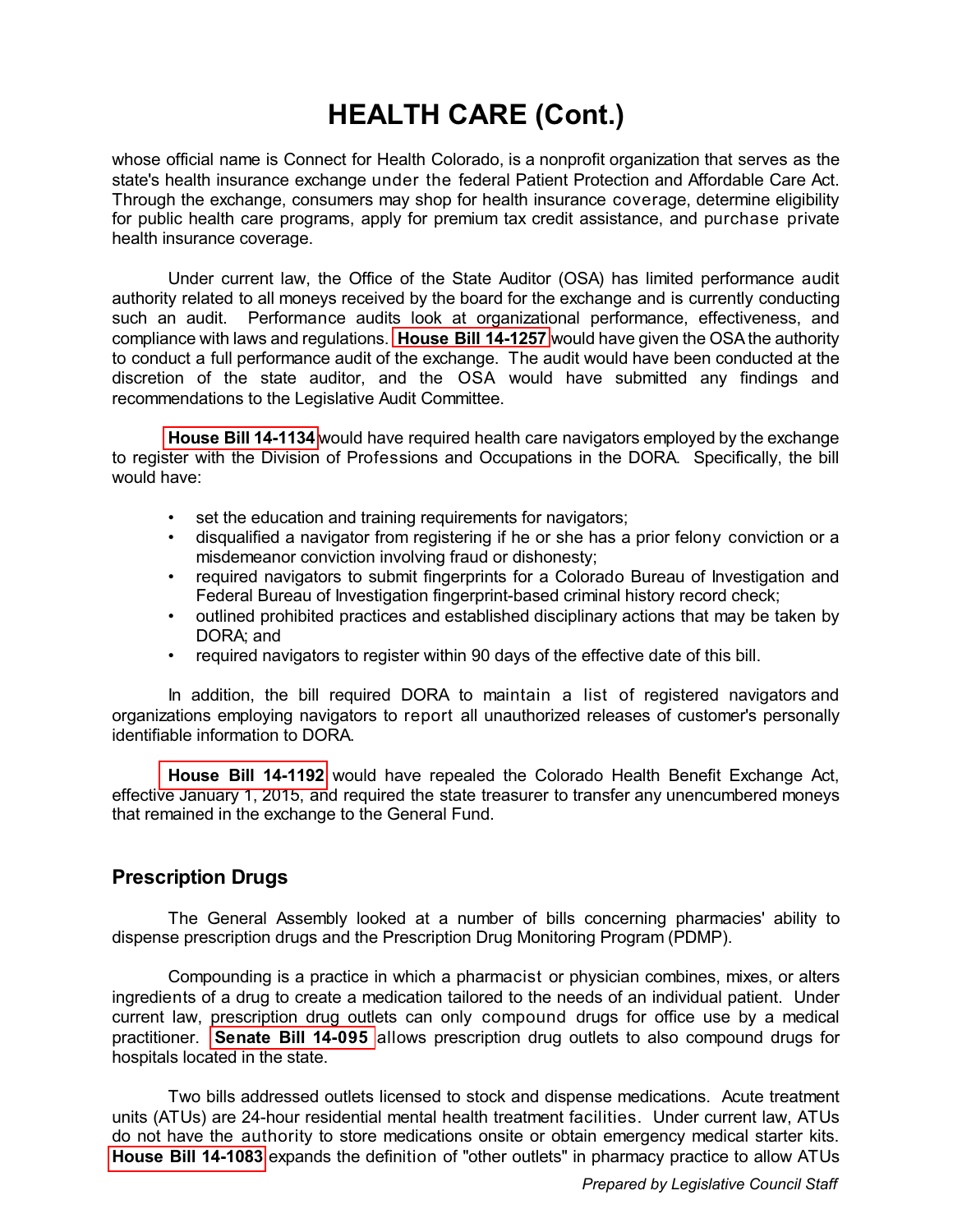<span id="page-8-0"></span>whose official name is Connect for Health Colorado, is a nonprofit organization that serves as the state's health insurance exchange under the federal Patient Protection and Affordable Care Act. Through the exchange, consumers may shop for health insurance coverage, determine eligibility for public health care programs, apply for premium tax credit assistance, and purchase private health insurance coverage.

Under current law, the Office of the State Auditor (OSA) has limited performance audit authority related to all moneys received by the board for the exchange and is currently conducting such an audit. Performance audits look at organizational performance, effectiveness, and compliance with laws and regulations. **[House Bill 14-1257](http://www.leg.state.co.us/Clics/CLICS2014A/csl.nsf/fsbillcont3/F3E7CB2DCFB1962087257C600075B058?Open&file=1257_ren.pdf)** would have given the OSA the authority to conduct a full performance audit of the exchange. The audit would have been conducted at the discretion of the state auditor, and the OSA would have submitted any findings and recommendations to the Legislative Audit Committee.

**[House Bill 14-1134](http://www.leg.state.co.us/Clics/CLICS2014A/csl.nsf/fsbillcont3/9F1F52425393A56687257C4A00718857?Open&file=1134_01.pdf)** would have required health care navigators employed by the exchange to register with the Division of Professions and Occupations in the DORA. Specifically, the bill would have:

- set the education and training requirements for navigators;
- disqualified a navigator from registering if he or she has a prior felony conviction or a misdemeanor conviction involving fraud or dishonesty;
- required navigators to submit fingerprints for a Colorado Bureau of Investigation and Federal Bureau of Investigation fingerprint-based criminal history record check;
- outlined prohibited practices and established disciplinary actions that may be taken by DORA; and
- required navigators to register within 90 days of the effective date of this bill.

 In addition, the bill required DORA to maintain a list of registered navigators and organizations employing navigators to report all unauthorized releases of customer's personally identifiable information to DORA.

**[House Bill 14-1192](http://www.leg.state.co.us/Clics/CLICS2014A/csl.nsf/fsbillcont3/09D01A3C828600F087257C3600754744?Open&file=1192_01.pdf)** would have repealed the Colorado Health Benefit Exchange Act, effective January 1, 2015, and required the state treasurer to transfer any unencumbered moneys that remained in the exchange to the General Fund.

#### **Prescription Drugs**

The General Assembly looked at a number of bills concerning pharmacies' ability to dispense prescription drugs and the Prescription Drug Monitoring Program (PDMP).

Compounding is a practice in which a pharmacist or physician combines, mixes, or alters ingredients of a drug to create a medication tailored to the needs of an individual patient. Under current law, prescription drug outlets can only compound drugs for office use by a medical practitioner. **[Senate Bill 14-095](http://www.leg.state.co.us/Clics/CLICS2014A/csl.nsf/fsbillcont3/40307D841523F5BE87257C4300636FEF?Open&file=095_enr.pdf)** allows prescription drug outlets to also compound drugs for hospitals located in the state.

Two bills addressed outlets licensed to stock and dispense medications. Acute treatment units (ATUs) are 24-hour residential mental health treatment facilities. Under current law, ATUs do not have the authority to store medications onsite or obtain emergency medical starter kits. **[House Bill 14-1083](http://www.leg.state.co.us/Clics/CLICS2014A/csl.nsf/fsbillcont3/3DA242C17CC41B5687257C3000070CCF?Open&file=1083_enr.pdf)** expands the definition of "other outlets" in pharmacy practice to allow ATUs